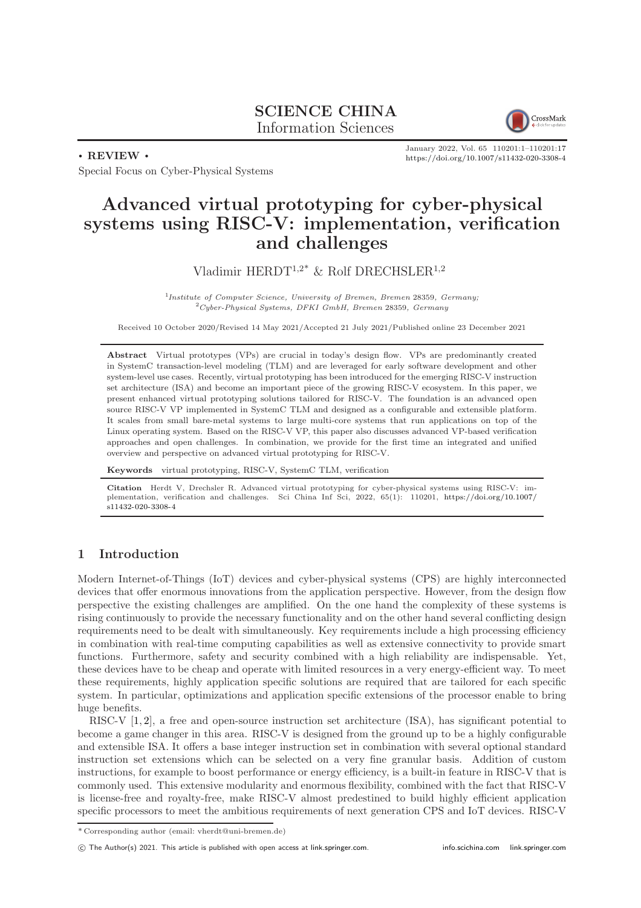# SCIENCE CHINA Information Sciences



. REVIEW .

Special Focus on Cyber-Physical Systems

January 2022, Vol. 65 110201:1–110201[:17](#page-16-0) <https://doi.org/10.1007/s11432-020-3308-4>

# Advanced virtual prototyping for cyber-physical systems using RISC-V: implementation, verification and challenges

Vladimir HERDT<sup>1,2\*</sup> & Rolf DRECHSLER<sup>1,2</sup>

<sup>1</sup>Institute of Computer Science, University of Bremen, Bremen 28359, Germany;  ${}^{2}Cyber-Physical Systems, DFKI GmbH, Bremen 28359, Germany$ 

Received 10 October 2020/Revised 14 May 2021/Accepted 21 July 2021/Published online 23 December 2021

Abstract Virtual prototypes (VPs) are crucial in today's design flow. VPs are predominantly created in SystemC transaction-level modeling (TLM) and are leveraged for early software development and other system-level use cases. Recently, virtual prototyping has been introduced for the emerging RISC-V instruction set architecture (ISA) and become an important piece of the growing RISC-V ecosystem. In this paper, we present enhanced virtual prototyping solutions tailored for RISC-V. The foundation is an advanced open source RISC-V VP implemented in SystemC TLM and designed as a configurable and extensible platform. It scales from small bare-metal systems to large multi-core systems that run applications on top of the Linux operating system. Based on the RISC-V VP, this paper also discusses advanced VP-based verification approaches and open challenges. In combination, we provide for the first time an integrated and unified overview and perspective on advanced virtual prototyping for RISC-V.

Keywords virtual prototyping, RISC-V, SystemC TLM, verification

Citation Herdt V, Drechsler R. Advanced virtual prototyping for cyber-physical systems using RISC-V: implementation, verification and challenges. Sci China Inf Sci, 2022, 65(1): 110201, [https://doi.org/10.1007/](https://doi.org/10.1007/s11432-020-3308-4) [s11432-020-3308-4](https://doi.org/10.1007/s11432-020-3308-4)

# 1 Introduction

Modern Internet-of-Things (IoT) devices and cyber-physical systems (CPS) are highly interconnected devices that offer enormous innovations from the application perspective. However, from the design flow perspective the existing challenges are amplified. On the one hand the complexity of these systems is rising continuously to provide the necessary functionality and on the other hand several conflicting design requirements need to be dealt with simultaneously. Key requirements include a high processing efficiency in combination with real-time computing capabilities as well as extensive connectivity to provide smart functions. Furthermore, safety and security combined with a high reliability are indispensable. Yet, these devices have to be cheap and operate with limited resources in a very energy-efficient way. To meet these requirements, highly application specific solutions are required that are tailored for each specific system. In particular, optimizations and application specific extensions of the processor enable to bring huge benefits.

RISC-V [\[1,](#page-14-0) [2\]](#page-14-1), a free and open-source instruction set architecture (ISA), has significant potential to become a game changer in this area. RISC-V is designed from the ground up to be a highly configurable and extensible ISA. It offers a base integer instruction set in combination with several optional standard instruction set extensions which can be selected on a very fine granular basis. Addition of custom instructions, for example to boost performance or energy efficiency, is a built-in feature in RISC-V that is commonly used. This extensive modularity and enormous flexibility, combined with the fact that RISC-V is license-free and royalty-free, make RISC-V almost predestined to build highly efficient application specific processors to meet the ambitious requirements of next generation CPS and IoT devices. RISC-V

<sup>\*</sup> Corresponding author (email: vherdt@uni-bremen.de)

c The Author(s) 2021. This article is published with open access at [link.springer.com.](link.springer.com) <info.scichina.com><link.springer.com>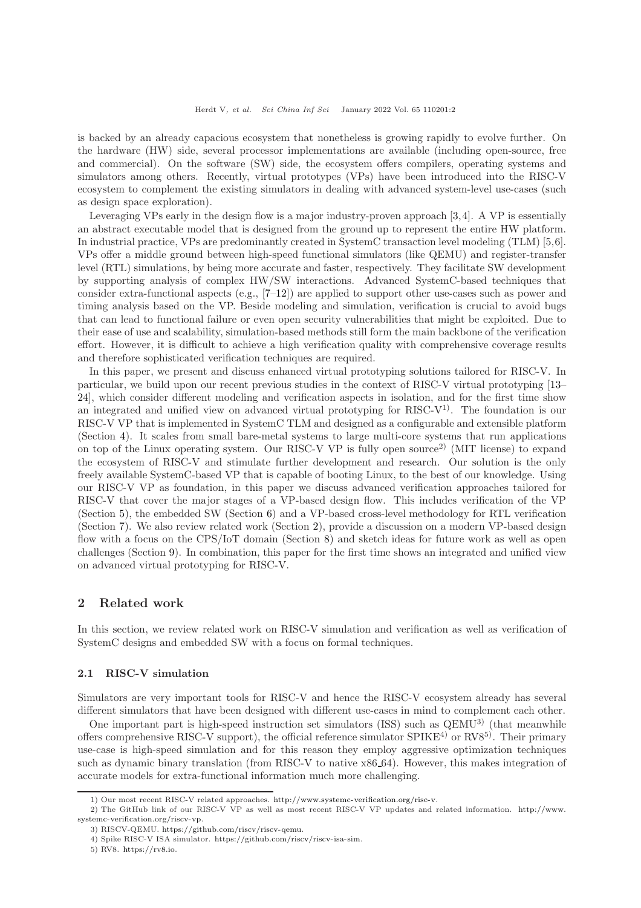is backed by an already capacious ecosystem that nonetheless is growing rapidly to evolve further. On the hardware (HW) side, several processor implementations are available (including open-source, free and commercial). On the software (SW) side, the ecosystem offers compilers, operating systems and simulators among others. Recently, virtual prototypes (VPs) have been introduced into the RISC-V ecosystem to complement the existing simulators in dealing with advanced system-level use-cases (such as design space exploration).

Leveraging VPs early in the design flow is a major industry-proven approach [\[3,](#page-14-2)[4\]](#page-14-3). A VP is essentially an abstract executable model that is designed from the ground up to represent the entire HW platform. In industrial practice, VPs are predominantly created in SystemC transaction level modeling (TLM) [\[5,](#page-14-4)[6\]](#page-14-5). VPs offer a middle ground between high-speed functional simulators (like QEMU) and register-transfer level (RTL) simulations, by being more accurate and faster, respectively. They facilitate SW development by supporting analysis of complex HW/SW interactions. Advanced SystemC-based techniques that consider extra-functional aspects (e.g., [\[7](#page-14-6)[–12\]](#page-14-7)) are applied to support other use-cases such as power and timing analysis based on the VP. Beside modeling and simulation, verification is crucial to avoid bugs that can lead to functional failure or even open security vulnerabilities that might be exploited. Due to their ease of use and scalability, simulation-based methods still form the main backbone of the verification effort. However, it is difficult to achieve a high verification quality with comprehensive coverage results and therefore sophisticated verification techniques are required.

In this paper, we present and discuss enhanced virtual prototyping solutions tailored for RISC-V. In particular, we build upon our recent previous studies in the context of RISC-V virtual prototyping [\[13–](#page-14-8) [24\]](#page-14-9), which consider different modeling and verification aspects in isolation, and for the first time show an integrated and unified view on advanced virtual prototyping for RISC-V<sup>1)</sup>. The foundation is our RISC-V VP that is implemented in SystemC TLM and designed as a configurable and extensible platform (Section [4\)](#page-4-0). It scales from small bare-metal systems to large multi-core systems that run applications on top of the Linux operating system. Our RISC-V VP is fully open source<sup>2</sup> (MIT license) to expand the ecosystem of RISC-V and stimulate further development and research. Our solution is the only freely available SystemC-based VP that is capable of booting Linux, to the best of our knowledge. Using our RISC-V VP as foundation, in this paper we discuss advanced verification approaches tailored for RISC-V that cover the major stages of a VP-based design flow. This includes verification of the VP (Section [5\)](#page-6-0), the embedded SW (Section [6\)](#page-8-0) and a VP-based cross-level methodology for RTL verification (Section [7\)](#page-9-0). We also review related work (Section [2\)](#page-1-0), provide a discussion on a modern VP-based design flow with a focus on the CPS/IoT domain (Section [8\)](#page-11-0) and sketch ideas for future work as well as open challenges (Section [9\)](#page-12-0). In combination, this paper for the first time shows an integrated and unified view on advanced virtual prototyping for RISC-V.

# <span id="page-1-0"></span>2 Related work

In this section, we review related work on RISC-V simulation and verification as well as verification of SystemC designs and embedded SW with a focus on formal techniques.

## 2.1 RISC-V simulation

Simulators are very important tools for RISC-V and hence the RISC-V ecosystem already has several different simulators that have been designed with different use-cases in mind to complement each other.

One important part is high-speed instruction set simulators (ISS) such as QEMU3) (that meanwhile offers comprehensive RISC-V support), the official reference simulator  $SPIKE^{4}$  or  $RV8^{5}$ . Their primary use-case is high-speed simulation and for this reason they employ aggressive optimization techniques such as dynamic binary translation (from RISC-V to native x86.64). However, this makes integration of accurate models for extra-functional information much more challenging.

<sup>1)</sup> Our most recent RISC-V related approaches. [http://www.systemc-verification.org/risc-v.](http://www.systemc-verification.org/risc-v)

<sup>2)</sup> The GitHub link of our RISC-V VP as well as most recent RISC-V VP updates and related information. [http://www.](http://www.systemc-verification.org/riscv-vp)

[systemc-verification.org/riscv-vp.](http://www.systemc-verification.org/riscv-vp)

<sup>3)</sup> RISCV-QEMU. [https://github.com/riscv/riscv-qemu.](https://github.com/riscv/riscv-qemu)

<sup>4)</sup> Spike RISC-V ISA simulator. [https://github.com/riscv/riscv-isa-sim.](https://github.com/riscv/riscv-isa-sim)

<sup>5)</sup> RV8. [https://rv8.io.](https://rv8.io)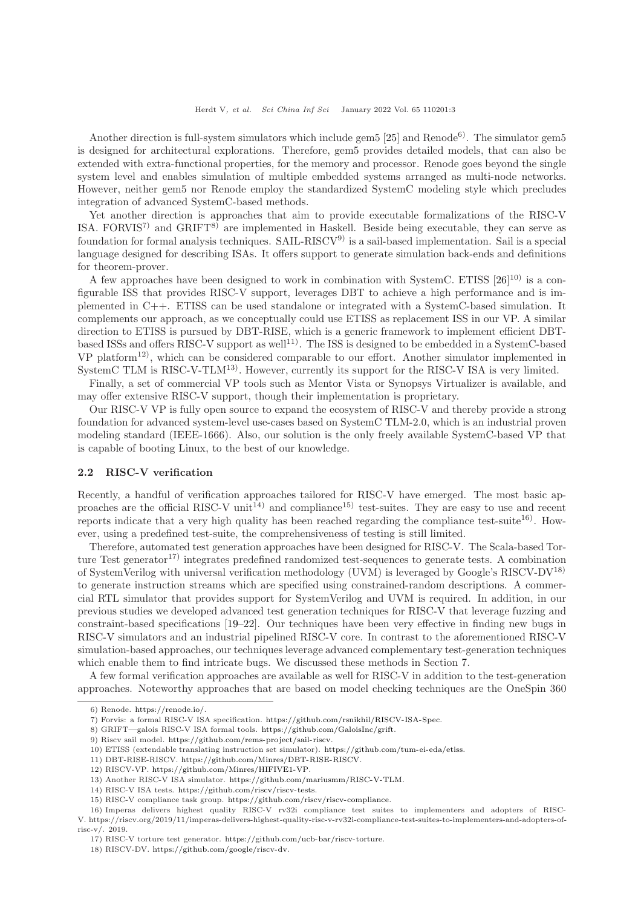Another direction is full-system simulators which include gem5  $[25]$  and Renode<sup>6</sup>). The simulator gem5 is designed for architectural explorations. Therefore, gem5 provides detailed models, that can also be extended with extra-functional properties, for the memory and processor. Renode goes beyond the single system level and enables simulation of multiple embedded systems arranged as multi-node networks. However, neither gem5 nor Renode employ the standardized SystemC modeling style which precludes integration of advanced SystemC-based methods.

Yet another direction is approaches that aim to provide executable formalizations of the RISC-V ISA. FORVIS<sup>7)</sup> and GRIFT<sup>8)</sup> are implemented in Haskell. Beside being executable, they can serve as foundation for formal analysis techniques. SAIL-RISCV9) is a sail-based implementation. Sail is a special language designed for describing ISAs. It offers support to generate simulation back-ends and definitions for theorem-prover.

A few approaches have been designed to work in combination with SystemC. ETISS  $[26]^{10}$  is a configurable ISS that provides RISC-V support, leverages DBT to achieve a high performance and is implemented in C++. ETISS can be used standalone or integrated with a SystemC-based simulation. It complements our approach, as we conceptually could use ETISS as replacement ISS in our VP. A similar direction to ETISS is pursued by DBT-RISE, which is a generic framework to implement efficient DBTbased ISSs and offers RISC-V support as well<sup>11)</sup>. The ISS is designed to be embedded in a SystemC-based  $VP$  platform<sup>12</sup>, which can be considered comparable to our effort. Another simulator implemented in SystemC TLM is RISC-V-TLM13). However, currently its support for the RISC-V ISA is very limited.

Finally, a set of commercial VP tools such as Mentor Vista or Synopsys Virtualizer is available, and may offer extensive RISC-V support, though their implementation is proprietary.

Our RISC-V VP is fully open source to expand the ecosystem of RISC-V and thereby provide a strong foundation for advanced system-level use-cases based on SystemC TLM-2.0, which is an industrial proven modeling standard (IEEE-1666). Also, our solution is the only freely available SystemC-based VP that is capable of booting Linux, to the best of our knowledge.

#### 2.2 RISC-V verification

Recently, a handful of verification approaches tailored for RISC-V have emerged. The most basic approaches are the official RISC-V unit<sup>14)</sup> and compliance<sup>15)</sup> test-suites. They are easy to use and recent reports indicate that a very high quality has been reached regarding the compliance test-suite<sup>16)</sup>. However, using a predefined test-suite, the comprehensiveness of testing is still limited.

Therefore, automated test generation approaches have been designed for RISC-V. The Scala-based Torture Test generator<sup>17</sup>) integrates predefined randomized test-sequences to generate tests. A combination of SystemVerilog with universal verification methodology (UVM) is leveraged by Google's RISCV-DV18) to generate instruction streams which are specified using constrained-random descriptions. A commercial RTL simulator that provides support for SystemVerilog and UVM is required. In addition, in our previous studies we developed advanced test generation techniques for RISC-V that leverage fuzzing and constraint-based specifications [\[19](#page-14-12)[–22\]](#page-14-13). Our techniques have been very effective in finding new bugs in RISC-V simulators and an industrial pipelined RISC-V core. In contrast to the aforementioned RISC-V simulation-based approaches, our techniques leverage advanced complementary test-generation techniques which enable them to find intricate bugs. We discussed these methods in Section [7.](#page-9-0)

A few formal verification approaches are available as well for RISC-V in addition to the test-generation approaches. Noteworthy approaches that are based on model checking techniques are the OneSpin 360

<sup>6)</sup> Renode. [https://renode.io/.](https://renode.io/)

<sup>7)</sup> Forvis: a formal RISC-V ISA specification. [https://github.com/rsnikhil/RISCV-ISA-Spec.](https://github.com/rsnikhil/RISCV-ISA-Spec)

<sup>8)</sup> GRIFT—galois RISC-V ISA formal tools. [https://github.com/GaloisInc/grift.](https://github.com/GaloisInc/grift)

<sup>9)</sup> Riscv sail model. [https://github.com/rems-project/sail-riscv.](https://github.com/rems-project/sail-riscv)

<sup>10)</sup> ETISS (extendable translating instruction set simulator). [https://github.com/tum-ei-eda/etiss.](https://github.com/tum-ei-eda/etiss)

<sup>11)</sup> DBT-RISE-RISCV. [https://github.com/Minres/DBT-RISE-RISCV.](https://github.com/Minres/DBT-RISE-RISCV)

<sup>12)</sup> RISCV-VP. [https://github.com/Minres/HIFIVE1-VP.](https://github.com/Minres/HIFIVE1-VP)

<sup>13)</sup> Another RISC-V ISA simulator. [https://github.com/mariusmm/RISC-V-TLM.](https://github.com/mariusmm/RISC-V-TLM)

<sup>14)</sup> RISC-V ISA tests. [https://github.com/riscv/riscv-tests.](https://github.com/riscv/riscv-tests)

<sup>15)</sup> RISC-V compliance task group. [https://github.com/riscv/riscv-compliance.](https://github.com/riscv/riscv-compliance)

<sup>16)</sup> Imperas delivers highest quality RISC-V rv32i compliance test suites to implementers and adopters of RISC-V. https://riscv.org/2019/11/imperas-delivers-highest-quality-risc-v-rv32i-compliance-test-suites-to-implementers-and-adopters-ofrisc-v/. 2019.

<sup>17)</sup> RISC-V torture test generator. [https://github.com/ucb-bar/riscv-torture.](https://github.com/ucb-bar/riscv-torture)

<sup>18)</sup> RISCV-DV. [https://github.com/google/riscv-dv.](https://github.com/google/riscv-dv)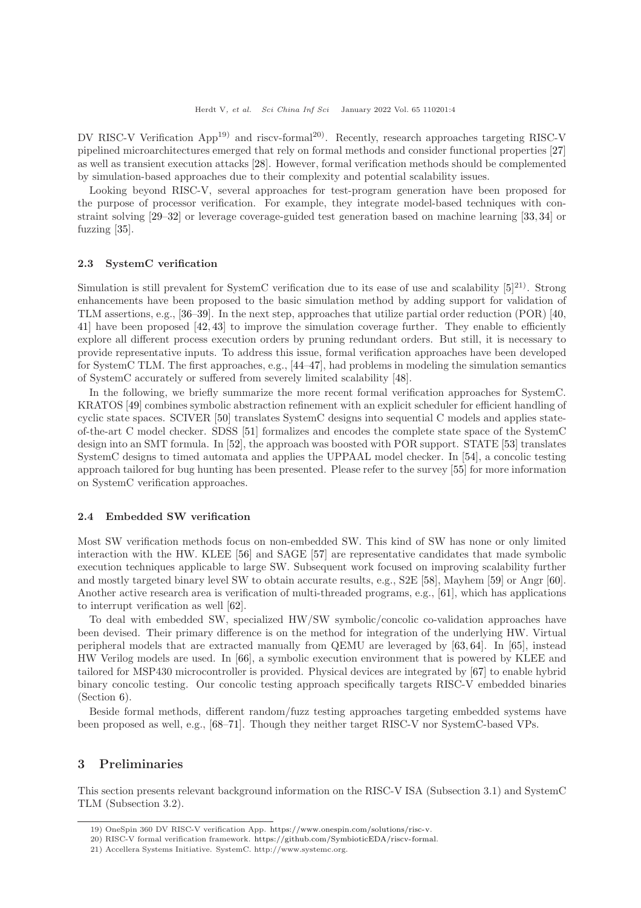DV RISC-V Verification App<sup>19)</sup> and riscv-formal<sup>20)</sup>. Recently, research approaches targeting RISC-V pipelined microarchitectures emerged that rely on formal methods and consider functional properties [\[27\]](#page-14-14) as well as transient execution attacks [\[28\]](#page-14-15). However, formal verification methods should be complemented by simulation-based approaches due to their complexity and potential scalability issues.

Looking beyond RISC-V, several approaches for test-program generation have been proposed for the purpose of processor verification. For example, they integrate model-based techniques with constraint solving [\[29–](#page-14-16)[32\]](#page-14-17) or leverage coverage-guided test generation based on machine learning [\[33,](#page-14-18) [34\]](#page-14-19) or fuzzing [\[35\]](#page-14-20).

#### 2.3 SystemC verification

Simulation is still prevalent for SystemC verification due to its ease of use and scalability  $[5]^{21}$ . Strong enhancements have been proposed to the basic simulation method by adding support for validation of TLM assertions, e.g., [\[36](#page-14-21)[–39\]](#page-15-0). In the next step, approaches that utilize partial order reduction (POR) [\[40,](#page-15-1) [41\]](#page-15-2) have been proposed [\[42,](#page-15-3) [43\]](#page-15-4) to improve the simulation coverage further. They enable to efficiently explore all different process execution orders by pruning redundant orders. But still, it is necessary to provide representative inputs. To address this issue, formal verification approaches have been developed for SystemC TLM. The first approaches, e.g., [\[44](#page-15-5)[–47\]](#page-15-6), had problems in modeling the simulation semantics of SystemC accurately or suffered from severely limited scalability [\[48\]](#page-15-7).

In the following, we briefly summarize the more recent formal verification approaches for SystemC. KRATOS [\[49\]](#page-15-8) combines symbolic abstraction refinement with an explicit scheduler for efficient handling of cyclic state spaces. SCIVER [\[50\]](#page-15-9) translates SystemC designs into sequential C models and applies stateof-the-art C model checker. SDSS [\[51\]](#page-15-10) formalizes and encodes the complete state space of the SystemC design into an SMT formula. In [\[52\]](#page-15-11), the approach was boosted with POR support. STATE [\[53\]](#page-15-12) translates SystemC designs to timed automata and applies the UPPAAL model checker. In [\[54\]](#page-15-13), a concolic testing approach tailored for bug hunting has been presented. Please refer to the survey [\[55\]](#page-15-14) for more information on SystemC verification approaches.

#### 2.4 Embedded SW verification

Most SW verification methods focus on non-embedded SW. This kind of SW has none or only limited interaction with the HW. KLEE [\[56\]](#page-15-15) and SAGE [\[57\]](#page-15-16) are representative candidates that made symbolic execution techniques applicable to large SW. Subsequent work focused on improving scalability further and mostly targeted binary level SW to obtain accurate results, e.g., S2E [\[58\]](#page-15-17), Mayhem [\[59\]](#page-15-18) or Angr [\[60\]](#page-15-19). Another active research area is verification of multi-threaded programs, e.g., [\[61\]](#page-15-20), which has applications to interrupt verification as well [\[62\]](#page-15-21).

To deal with embedded SW, specialized HW/SW symbolic/concolic co-validation approaches have been devised. Their primary difference is on the method for integration of the underlying HW. Virtual peripheral models that are extracted manually from QEMU are leveraged by [\[63,](#page-15-22) [64\]](#page-15-23). In [\[65\]](#page-15-24), instead HW Verilog models are used. In [\[66\]](#page-15-25), a symbolic execution environment that is powered by KLEE and tailored for MSP430 microcontroller is provided. Physical devices are integrated by [\[67\]](#page-15-26) to enable hybrid binary concolic testing. Our concolic testing approach specifically targets RISC-V embedded binaries (Section [6\)](#page-8-0).

Beside formal methods, different random/fuzz testing approaches targeting embedded systems have been proposed as well, e.g., [\[68–](#page-15-27)[71\]](#page-15-28). Though they neither target RISC-V nor SystemC-based VPs.

# 3 Preliminaries

This section presents relevant background information on the RISC-V ISA (Subsection 3.1) and SystemC TLM (Subsection 3.2).

<sup>19)</sup> OneSpin 360 DV RISC-V verification App. [https://www.onespin.com/solutions/risc-v.](https://www.onespin.com/solutions/risc-v)

<sup>20)</sup> RISC-V formal verification framework. [https://github.com/SymbioticEDA/riscv-formal.](https://github.com/SymbioticEDA/riscv-formal)

<sup>21)</sup> Accellera Systems Initiative. SystemC. http://www.systemc.org.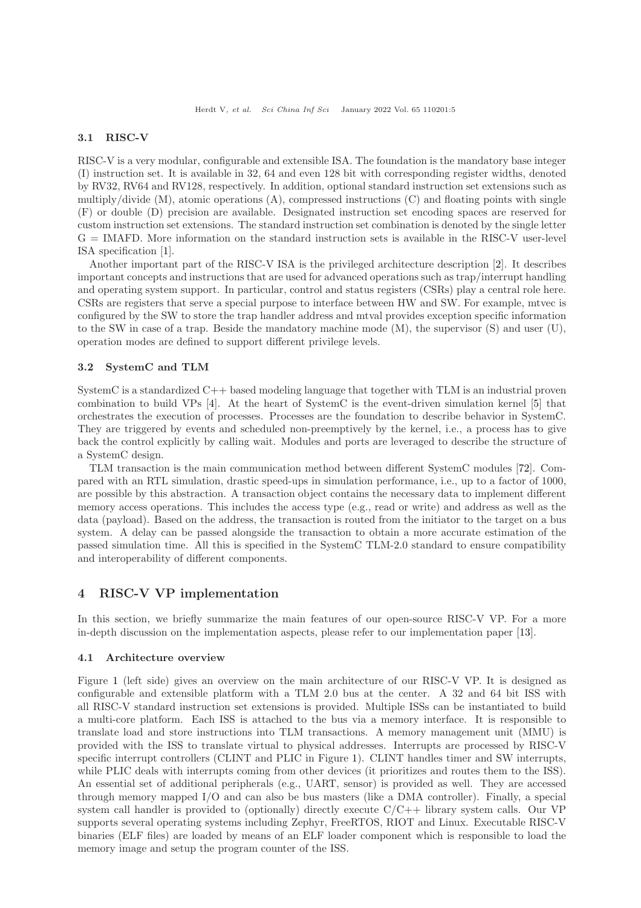# 3.1 RISC-V

RISC-V is a very modular, configurable and extensible ISA. The foundation is the mandatory base integer (I) instruction set. It is available in 32, 64 and even 128 bit with corresponding register widths, denoted by RV32, RV64 and RV128, respectively. In addition, optional standard instruction set extensions such as multiply/divide  $(M)$ , atomic operations  $(A)$ , compressed instructions  $(C)$  and floating points with single (F) or double (D) precision are available. Designated instruction set encoding spaces are reserved for custom instruction set extensions. The standard instruction set combination is denoted by the single letter G = IMAFD. More information on the standard instruction sets is available in the RISC-V user-level ISA specification [\[1\]](#page-14-0).

Another important part of the RISC-V ISA is the privileged architecture description [\[2\]](#page-14-1). It describes important concepts and instructions that are used for advanced operations such as trap/interrupt handling and operating system support. In particular, control and status registers (CSRs) play a central role here. CSRs are registers that serve a special purpose to interface between HW and SW. For example, mtvec is configured by the SW to store the trap handler address and mtval provides exception specific information to the SW in case of a trap. Beside the mandatory machine mode (M), the supervisor (S) and user (U), operation modes are defined to support different privilege levels.

#### 3.2 SystemC and TLM

SystemC is a standardized C++ based modeling language that together with TLM is an industrial proven combination to build VPs [\[4\]](#page-14-3). At the heart of SystemC is the event-driven simulation kernel [\[5\]](#page-14-4) that orchestrates the execution of processes. Processes are the foundation to describe behavior in SystemC. They are triggered by events and scheduled non-preemptively by the kernel, i.e., a process has to give back the control explicitly by calling wait. Modules and ports are leveraged to describe the structure of a SystemC design.

TLM transaction is the main communication method between different SystemC modules [\[72\]](#page-15-29). Compared with an RTL simulation, drastic speed-ups in simulation performance, i.e., up to a factor of 1000, are possible by this abstraction. A transaction object contains the necessary data to implement different memory access operations. This includes the access type (e.g., read or write) and address as well as the data (payload). Based on the address, the transaction is routed from the initiator to the target on a bus system. A delay can be passed alongside the transaction to obtain a more accurate estimation of the passed simulation time. All this is specified in the SystemC TLM-2.0 standard to ensure compatibility and interoperability of different components.

## <span id="page-4-0"></span>4 RISC-V VP implementation

In this section, we briefly summarize the main features of our open-source RISC-V VP. For a more in-depth discussion on the implementation aspects, please refer to our implementation paper [\[13\]](#page-14-8).

#### 4.1 Architecture overview

Figure [1](#page-5-0) (left side) gives an overview on the main architecture of our RISC-V VP. It is designed as configurable and extensible platform with a TLM 2.0 bus at the center. A 32 and 64 bit ISS with all RISC-V standard instruction set extensions is provided. Multiple ISSs can be instantiated to build a multi-core platform. Each ISS is attached to the bus via a memory interface. It is responsible to translate load and store instructions into TLM transactions. A memory management unit (MMU) is provided with the ISS to translate virtual to physical addresses. Interrupts are processed by RISC-V specific interrupt controllers (CLINT and PLIC in Figure [1\)](#page-5-0). CLINT handles timer and SW interrupts, while PLIC deals with interrupts coming from other devices (it prioritizes and routes them to the ISS). An essential set of additional peripherals (e.g., UART, sensor) is provided as well. They are accessed through memory mapped I/O and can also be bus masters (like a DMA controller). Finally, a special system call handler is provided to (optionally) directly execute  $C/C++$  library system calls. Our VP supports several operating systems including Zephyr, FreeRTOS, RIOT and Linux. Executable RISC-V binaries (ELF files) are loaded by means of an ELF loader component which is responsible to load the memory image and setup the program counter of the ISS.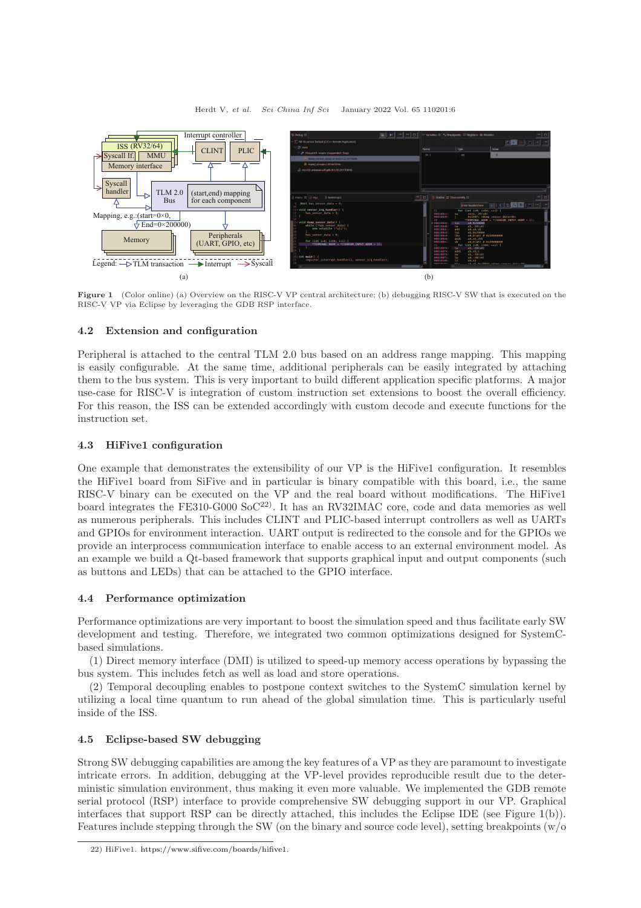<span id="page-5-0"></span>

Figure 1 (Color online) (a) Overview on the RISC-V VP central architecture; (b) debugging RISC-V SW that is executed on the RISC-V VP via Eclipse by leveraging the GDB RSP interface.

# 4.2 Extension and configuration

Peripheral is attached to the central TLM 2.0 bus based on an address range mapping. This mapping is easily configurable. At the same time, additional peripherals can be easily integrated by attaching them to the bus system. This is very important to build different application specific platforms. A major use-case for RISC-V is integration of custom instruction set extensions to boost the overall efficiency. For this reason, the ISS can be extended accordingly with custom decode and execute functions for the instruction set.

# 4.3 HiFive1 configuration

One example that demonstrates the extensibility of our VP is the HiFive1 configuration. It resembles the HiFive1 board from SiFive and in particular is binary compatible with this board, i.e., the same RISC-V binary can be executed on the VP and the real board without modifications. The HiFive1 board integrates the FE310-G000 So $C^{22}$ ). It has an RV32IMAC core, code and data memories as well as numerous peripherals. This includes CLINT and PLIC-based interrupt controllers as well as UARTs and GPIOs for environment interaction. UART output is redirected to the console and for the GPIOs we provide an interprocess communication interface to enable access to an external environment model. As an example we build a Qt-based framework that supports graphical input and output components (such as buttons and LEDs) that can be attached to the GPIO interface.

## 4.4 Performance optimization

Performance optimizations are very important to boost the simulation speed and thus facilitate early SW development and testing. Therefore, we integrated two common optimizations designed for SystemCbased simulations.

(1) Direct memory interface (DMI) is utilized to speed-up memory access operations by bypassing the bus system. This includes fetch as well as load and store operations.

(2) Temporal decoupling enables to postpone context switches to the SystemC simulation kernel by utilizing a local time quantum to run ahead of the global simulation time. This is particularly useful inside of the ISS.

# 4.5 Eclipse-based SW debugging

Strong SW debugging capabilities are among the key features of a VP as they are paramount to investigate intricate errors. In addition, debugging at the VP-level provides reproducible result due to the deterministic simulation environment, thus making it even more valuable. We implemented the GDB remote serial protocol (RSP) interface to provide comprehensive SW debugging support in our VP. Graphical interfaces that support RSP can be directly attached, this includes the Eclipse IDE (see Figure [1\(](#page-5-0)b)). Features include stepping through the SW (on the binary and source code level), setting breakpoints (w/o

<sup>22)</sup> HiFive1. [https://www.sifive.com/boards/hifive1.](https://www.sifive.com/boards/hifive1)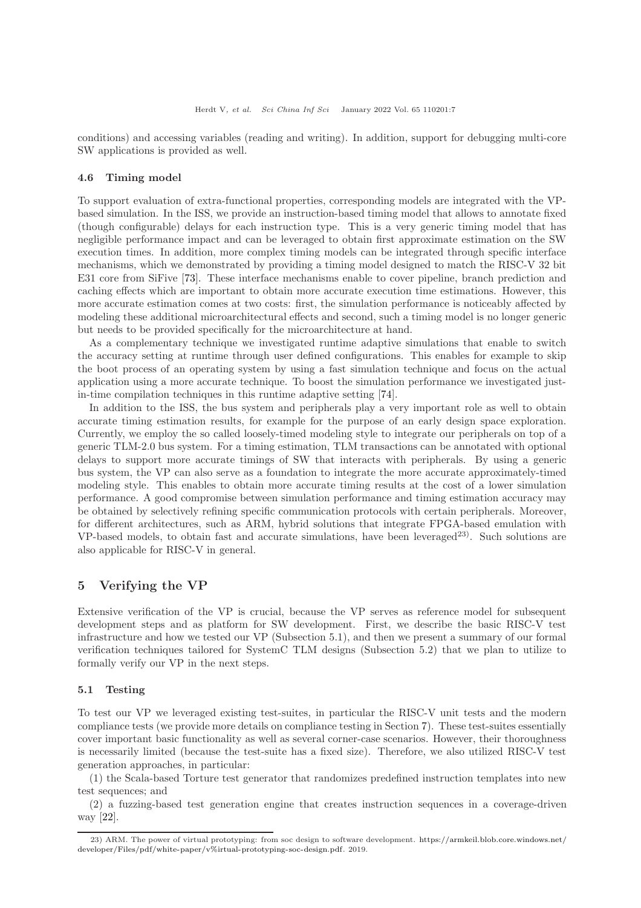conditions) and accessing variables (reading and writing). In addition, support for debugging multi-core SW applications is provided as well.

#### 4.6 Timing model

To support evaluation of extra-functional properties, corresponding models are integrated with the VPbased simulation. In the ISS, we provide an instruction-based timing model that allows to annotate fixed (though configurable) delays for each instruction type. This is a very generic timing model that has negligible performance impact and can be leveraged to obtain first approximate estimation on the SW execution times. In addition, more complex timing models can be integrated through specific interface mechanisms, which we demonstrated by providing a timing model designed to match the RISC-V 32 bit E31 core from SiFive [\[73\]](#page-15-30). These interface mechanisms enable to cover pipeline, branch prediction and caching effects which are important to obtain more accurate execution time estimations. However, this more accurate estimation comes at two costs: first, the simulation performance is noticeably affected by modeling these additional microarchitectural effects and second, such a timing model is no longer generic but needs to be provided specifically for the microarchitecture at hand.

As a complementary technique we investigated runtime adaptive simulations that enable to switch the accuracy setting at runtime through user defined configurations. This enables for example to skip the boot process of an operating system by using a fast simulation technique and focus on the actual application using a more accurate technique. To boost the simulation performance we investigated justin-time compilation techniques in this runtime adaptive setting [\[74\]](#page-16-1).

In addition to the ISS, the bus system and peripherals play a very important role as well to obtain accurate timing estimation results, for example for the purpose of an early design space exploration. Currently, we employ the so called loosely-timed modeling style to integrate our peripherals on top of a generic TLM-2.0 bus system. For a timing estimation, TLM transactions can be annotated with optional delays to support more accurate timings of SW that interacts with peripherals. By using a generic bus system, the VP can also serve as a foundation to integrate the more accurate approximately-timed modeling style. This enables to obtain more accurate timing results at the cost of a lower simulation performance. A good compromise between simulation performance and timing estimation accuracy may be obtained by selectively refining specific communication protocols with certain peripherals. Moreover, for different architectures, such as ARM, hybrid solutions that integrate FPGA-based emulation with  $VP$ -based models, to obtain fast and accurate simulations, have been leveraged<sup>23)</sup>. Such solutions are also applicable for RISC-V in general.

# <span id="page-6-0"></span>5 Verifying the VP

Extensive verification of the VP is crucial, because the VP serves as reference model for subsequent development steps and as platform for SW development. First, we describe the basic RISC-V test infrastructure and how we tested our VP (Subsection 5.1), and then we present a summary of our formal verification techniques tailored for SystemC TLM designs (Subsection 5.2) that we plan to utilize to formally verify our VP in the next steps.

#### 5.1 Testing

To test our VP we leveraged existing test-suites, in particular the RISC-V unit tests and the modern compliance tests (we provide more details on compliance testing in Section [7\)](#page-9-0). These test-suites essentially cover important basic functionality as well as several corner-case scenarios. However, their thoroughness is necessarily limited (because the test-suite has a fixed size). Therefore, we also utilized RISC-V test generation approaches, in particular:

(1) the Scala-based Torture test generator that randomizes predefined instruction templates into new test sequences; and

(2) a fuzzing-based test generation engine that creates instruction sequences in a coverage-driven way [\[22\]](#page-14-13).

<sup>23)</sup> ARM. The power of virtual prototyping: from soc design to software development. [https://armkeil.blob.core.windows.net/](https://armkeil.blob.core.windows.net/developer/Files/pdf/white-paper/v% irtual-prototyping-soc-design.pdf) [developer/Files/pdf/white-paper/v%irtual-prototyping-soc-design.pdf.](https://armkeil.blob.core.windows.net/developer/Files/pdf/white-paper/v% irtual-prototyping-soc-design.pdf) 2019.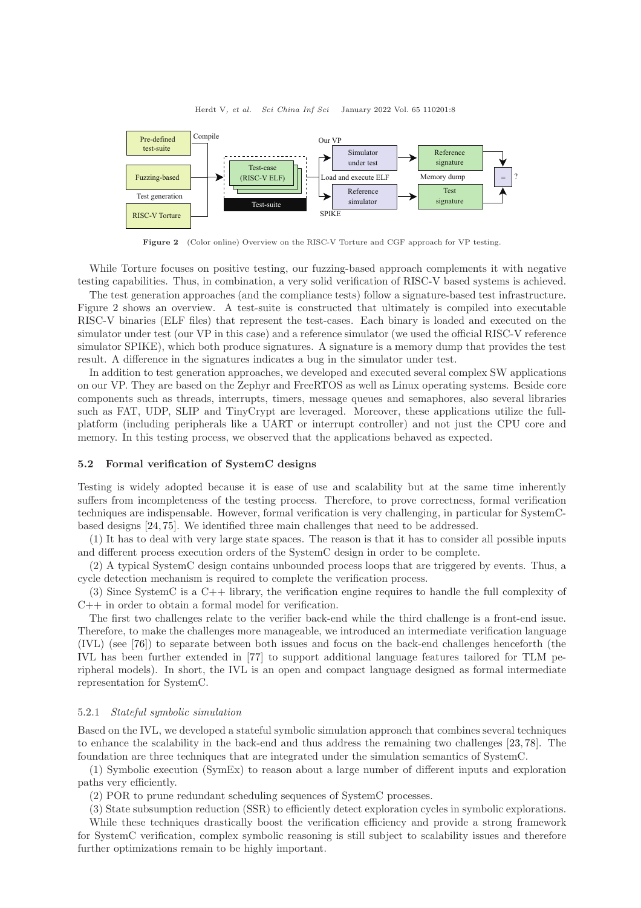<span id="page-7-0"></span>

Figure 2 (Color online) Overview on the RISC-V Torture and CGF approach for VP testing.

While Torture focuses on positive testing, our fuzzing-based approach complements it with negative testing capabilities. Thus, in combination, a very solid verification of RISC-V based systems is achieved.

The test generation approaches (and the compliance tests) follow a signature-based test infrastructure. Figure [2](#page-7-0) shows an overview. A test-suite is constructed that ultimately is compiled into executable RISC-V binaries (ELF files) that represent the test-cases. Each binary is loaded and executed on the simulator under test (our VP in this case) and a reference simulator (we used the official RISC-V reference simulator SPIKE), which both produce signatures. A signature is a memory dump that provides the test result. A difference in the signatures indicates a bug in the simulator under test.

In addition to test generation approaches, we developed and executed several complex SW applications on our VP. They are based on the Zephyr and FreeRTOS as well as Linux operating systems. Beside core components such as threads, interrupts, timers, message queues and semaphores, also several libraries such as FAT, UDP, SLIP and TinyCrypt are leveraged. Moreover, these applications utilize the fullplatform (including peripherals like a UART or interrupt controller) and not just the CPU core and memory. In this testing process, we observed that the applications behaved as expected.

#### 5.2 Formal verification of SystemC designs

Testing is widely adopted because it is ease of use and scalability but at the same time inherently suffers from incompleteness of the testing process. Therefore, to prove correctness, formal verification techniques are indispensable. However, formal verification is very challenging, in particular for SystemCbased designs [\[24,](#page-14-9) [75\]](#page-16-2). We identified three main challenges that need to be addressed.

(1) It has to deal with very large state spaces. The reason is that it has to consider all possible inputs and different process execution orders of the SystemC design in order to be complete.

(2) A typical SystemC design contains unbounded process loops that are triggered by events. Thus, a cycle detection mechanism is required to complete the verification process.

(3) Since SystemC is a C++ library, the verification engine requires to handle the full complexity of  $C_{++}$  in order to obtain a formal model for verification.

The first two challenges relate to the verifier back-end while the third challenge is a front-end issue. Therefore, to make the challenges more manageable, we introduced an intermediate verification language (IVL) (see [\[76\]](#page-16-3)) to separate between both issues and focus on the back-end challenges henceforth (the IVL has been further extended in [\[77\]](#page-16-4) to support additional language features tailored for TLM peripheral models). In short, the IVL is an open and compact language designed as formal intermediate representation for SystemC.

#### 5.2.1 Stateful symbolic simulation

Based on the IVL, we developed a stateful symbolic simulation approach that combines several techniques to enhance the scalability in the back-end and thus address the remaining two challenges [\[23,](#page-14-22) [78\]](#page-16-5). The foundation are three techniques that are integrated under the simulation semantics of SystemC.

(1) Symbolic execution (SymEx) to reason about a large number of different inputs and exploration paths very efficiently.

(2) POR to prune redundant scheduling sequences of SystemC processes.

(3) State subsumption reduction (SSR) to efficiently detect exploration cycles in symbolic explorations. While these techniques drastically boost the verification efficiency and provide a strong framework for SystemC verification, complex symbolic reasoning is still subject to scalability issues and therefore further optimizations remain to be highly important.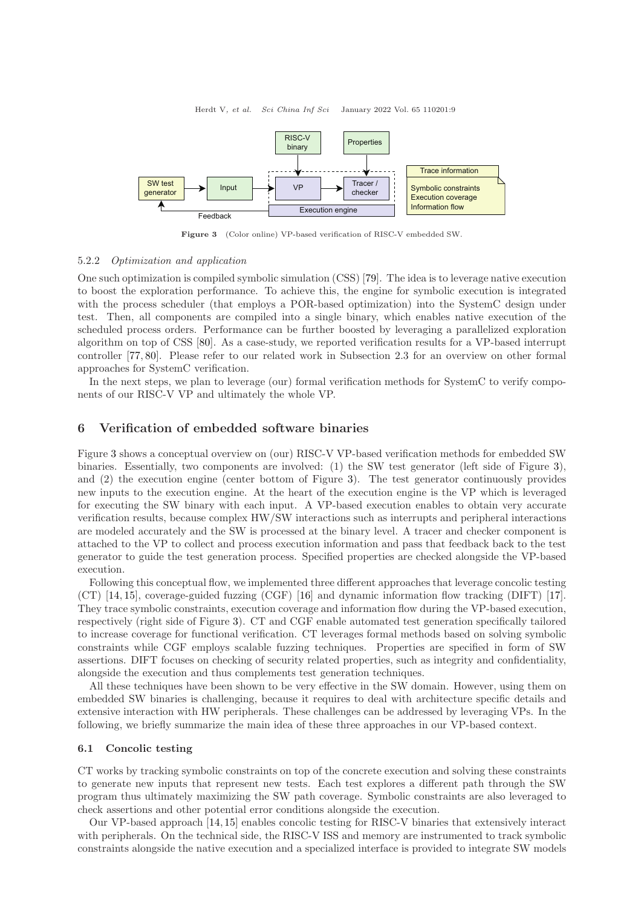<span id="page-8-1"></span>

Figure 3 (Color online) VP-based verification of RISC-V embedded SW.

#### 5.2.2 Optimization and application

One such optimization is compiled symbolic simulation (CSS) [\[79\]](#page-16-6). The idea is to leverage native execution to boost the exploration performance. To achieve this, the engine for symbolic execution is integrated with the process scheduler (that employs a POR-based optimization) into the SystemC design under test. Then, all components are compiled into a single binary, which enables native execution of the scheduled process orders. Performance can be further boosted by leveraging a parallelized exploration algorithm on top of CSS [\[80\]](#page-16-7). As a case-study, we reported verification results for a VP-based interrupt controller [\[77,](#page-16-4) [80\]](#page-16-7). Please refer to our related work in Subsection 2.3 for an overview on other formal approaches for SystemC verification.

In the next steps, we plan to leverage (our) formal verification methods for SystemC to verify components of our RISC-V VP and ultimately the whole VP.

# <span id="page-8-0"></span>6 Verification of embedded software binaries

Figure [3](#page-8-1) shows a conceptual overview on (our) RISC-V VP-based verification methods for embedded SW binaries. Essentially, two components are involved: (1) the SW test generator (left side of Figure [3\)](#page-8-1), and (2) the execution engine (center bottom of Figure [3\)](#page-8-1). The test generator continuously provides new inputs to the execution engine. At the heart of the execution engine is the VP which is leveraged for executing the SW binary with each input. A VP-based execution enables to obtain very accurate verification results, because complex HW/SW interactions such as interrupts and peripheral interactions are modeled accurately and the SW is processed at the binary level. A tracer and checker component is attached to the VP to collect and process execution information and pass that feedback back to the test generator to guide the test generation process. Specified properties are checked alongside the VP-based execution.

Following this conceptual flow, we implemented three different approaches that leverage concolic testing (CT) [\[14,](#page-14-23) [15\]](#page-14-24), coverage-guided fuzzing (CGF) [\[16\]](#page-14-25) and dynamic information flow tracking (DIFT) [\[17\]](#page-14-26). They trace symbolic constraints, execution coverage and information flow during the VP-based execution, respectively (right side of Figure [3\)](#page-8-1). CT and CGF enable automated test generation specifically tailored to increase coverage for functional verification. CT leverages formal methods based on solving symbolic constraints while CGF employs scalable fuzzing techniques. Properties are specified in form of SW assertions. DIFT focuses on checking of security related properties, such as integrity and confidentiality, alongside the execution and thus complements test generation techniques.

All these techniques have been shown to be very effective in the SW domain. However, using them on embedded SW binaries is challenging, because it requires to deal with architecture specific details and extensive interaction with HW peripherals. These challenges can be addressed by leveraging VPs. In the following, we briefly summarize the main idea of these three approaches in our VP-based context.

#### 6.1 Concolic testing

CT works by tracking symbolic constraints on top of the concrete execution and solving these constraints to generate new inputs that represent new tests. Each test explores a different path through the SW program thus ultimately maximizing the SW path coverage. Symbolic constraints are also leveraged to check assertions and other potential error conditions alongside the execution.

Our VP-based approach [\[14,](#page-14-23) [15\]](#page-14-24) enables concolic testing for RISC-V binaries that extensively interact with peripherals. On the technical side, the RISC-V ISS and memory are instrumented to track symbolic constraints alongside the native execution and a specialized interface is provided to integrate SW models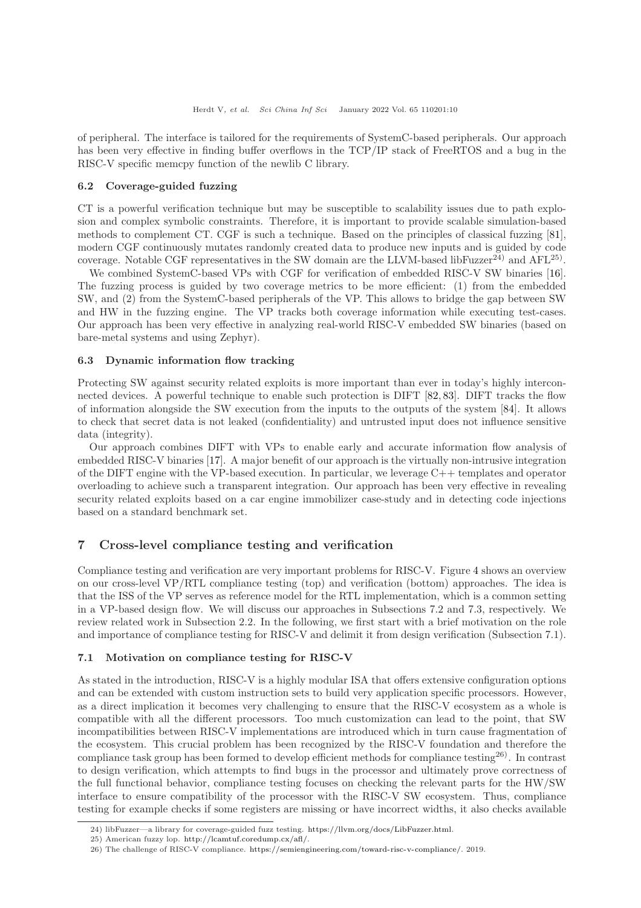of peripheral. The interface is tailored for the requirements of SystemC-based peripherals. Our approach has been very effective in finding buffer overflows in the TCP/IP stack of FreeRTOS and a bug in the RISC-V specific memcpy function of the newlib C library.

## 6.2 Coverage-guided fuzzing

CT is a powerful verification technique but may be susceptible to scalability issues due to path explosion and complex symbolic constraints. Therefore, it is important to provide scalable simulation-based methods to complement CT. CGF is such a technique. Based on the principles of classical fuzzing [\[81\]](#page-16-8), modern CGF continuously mutates randomly created data to produce new inputs and is guided by code coverage. Notable CGF representatives in the SW domain are the LLVM-based libFuzzer<sup>24)</sup> and  $AFL^{25}$ .

We combined SystemC-based VPs with CGF for verification of embedded RISC-V SW binaries [\[16\]](#page-14-25). The fuzzing process is guided by two coverage metrics to be more efficient: (1) from the embedded SW, and (2) from the SystemC-based peripherals of the VP. This allows to bridge the gap between SW and HW in the fuzzing engine. The VP tracks both coverage information while executing test-cases. Our approach has been very effective in analyzing real-world RISC-V embedded SW binaries (based on bare-metal systems and using Zephyr).

#### 6.3 Dynamic information flow tracking

Protecting SW against security related exploits is more important than ever in today's highly interconnected devices. A powerful technique to enable such protection is DIFT [\[82,](#page-16-9) [83\]](#page-16-10). DIFT tracks the flow of information alongside the SW execution from the inputs to the outputs of the system [\[84\]](#page-16-11). It allows to check that secret data is not leaked (confidentiality) and untrusted input does not influence sensitive data (integrity).

Our approach combines DIFT with VPs to enable early and accurate information flow analysis of embedded RISC-V binaries [\[17\]](#page-14-26). A major benefit of our approach is the virtually non-intrusive integration of the DIFT engine with the VP-based execution. In particular, we leverage C++ templates and operator overloading to achieve such a transparent integration. Our approach has been very effective in revealing security related exploits based on a car engine immobilizer case-study and in detecting code injections based on a standard benchmark set.

# <span id="page-9-0"></span>7 Cross-level compliance testing and verification

Compliance testing and verification are very important problems for RISC-V. Figure [4](#page-10-0) shows an overview on our cross-level VP/RTL compliance testing (top) and verification (bottom) approaches. The idea is that the ISS of the VP serves as reference model for the RTL implementation, which is a common setting in a VP-based design flow. We will discuss our approaches in Subsections 7.2 and 7.3, respectively. We review related work in Subsection 2.2. In the following, we first start with a brief motivation on the role and importance of compliance testing for RISC-V and delimit it from design verification (Subsection 7.1).

#### 7.1 Motivation on compliance testing for RISC-V

As stated in the introduction, RISC-V is a highly modular ISA that offers extensive configuration options and can be extended with custom instruction sets to build very application specific processors. However, as a direct implication it becomes very challenging to ensure that the RISC-V ecosystem as a whole is compatible with all the different processors. Too much customization can lead to the point, that SW incompatibilities between RISC-V implementations are introduced which in turn cause fragmentation of the ecosystem. This crucial problem has been recognized by the RISC-V foundation and therefore the compliance task group has been formed to develop efficient methods for compliance testing<sup>26)</sup>. In contrast to design verification, which attempts to find bugs in the processor and ultimately prove correctness of the full functional behavior, compliance testing focuses on checking the relevant parts for the HW/SW interface to ensure compatibility of the processor with the RISC-V SW ecosystem. Thus, compliance testing for example checks if some registers are missing or have incorrect widths, it also checks available

<sup>24)</sup> libFuzzer—a library for coverage-guided fuzz testing. [https://llvm.org/docs/LibFuzzer.html.](https://llvm.org/docs/LibFuzzer.html)

<sup>25)</sup> American fuzzy lop. [http://lcamtuf.coredump.cx/afl/.](http://lcamtuf.coredump.cx/afl/)

<sup>26)</sup> The challenge of RISC-V compliance. [https://semiengineering.com/toward-risc-v-compliance/.](https://semiengineering.com/toward-risc-v-compliance/) 2019.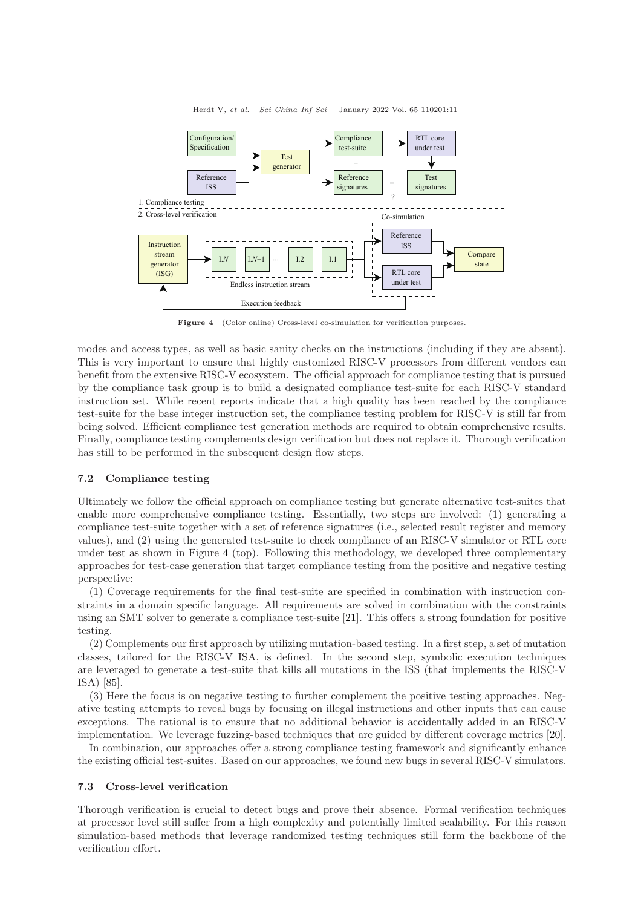Herdt V, et al. Sci China Inf Sci January 2022 Vol. 65 110201:11

<span id="page-10-0"></span>

Figure 4 (Color online) Cross-level co-simulation for verification purposes.

modes and access types, as well as basic sanity checks on the instructions (including if they are absent). This is very important to ensure that highly customized RISC-V processors from different vendors can benefit from the extensive RISC-V ecosystem. The official approach for compliance testing that is pursued by the compliance task group is to build a designated compliance test-suite for each RISC-V standard instruction set. While recent reports indicate that a high quality has been reached by the compliance test-suite for the base integer instruction set, the compliance testing problem for RISC-V is still far from being solved. Efficient compliance test generation methods are required to obtain comprehensive results. Finally, compliance testing complements design verification but does not replace it. Thorough verification has still to be performed in the subsequent design flow steps.

#### 7.2 Compliance testing

Ultimately we follow the official approach on compliance testing but generate alternative test-suites that enable more comprehensive compliance testing. Essentially, two steps are involved: (1) generating a compliance test-suite together with a set of reference signatures (i.e., selected result register and memory values), and (2) using the generated test-suite to check compliance of an RISC-V simulator or RTL core under test as shown in Figure [4](#page-10-0) (top). Following this methodology, we developed three complementary approaches for test-case generation that target compliance testing from the positive and negative testing perspective:

(1) Coverage requirements for the final test-suite are specified in combination with instruction constraints in a domain specific language. All requirements are solved in combination with the constraints using an SMT solver to generate a compliance test-suite [\[21\]](#page-14-27). This offers a strong foundation for positive testing.

(2) Complements our first approach by utilizing mutation-based testing. In a first step, a set of mutation classes, tailored for the RISC-V ISA, is defined. In the second step, symbolic execution techniques are leveraged to generate a test-suite that kills all mutations in the ISS (that implements the RISC-V ISA) [\[85\]](#page-16-12).

(3) Here the focus is on negative testing to further complement the positive testing approaches. Negative testing attempts to reveal bugs by focusing on illegal instructions and other inputs that can cause exceptions. The rational is to ensure that no additional behavior is accidentally added in an RISC-V implementation. We leverage fuzzing-based techniques that are guided by different coverage metrics [\[20\]](#page-14-28).

In combination, our approaches offer a strong compliance testing framework and significantly enhance the existing official test-suites. Based on our approaches, we found new bugs in several RISC-V simulators.

#### 7.3 Cross-level verification

Thorough verification is crucial to detect bugs and prove their absence. Formal verification techniques at processor level still suffer from a high complexity and potentially limited scalability. For this reason simulation-based methods that leverage randomized testing techniques still form the backbone of the verification effort.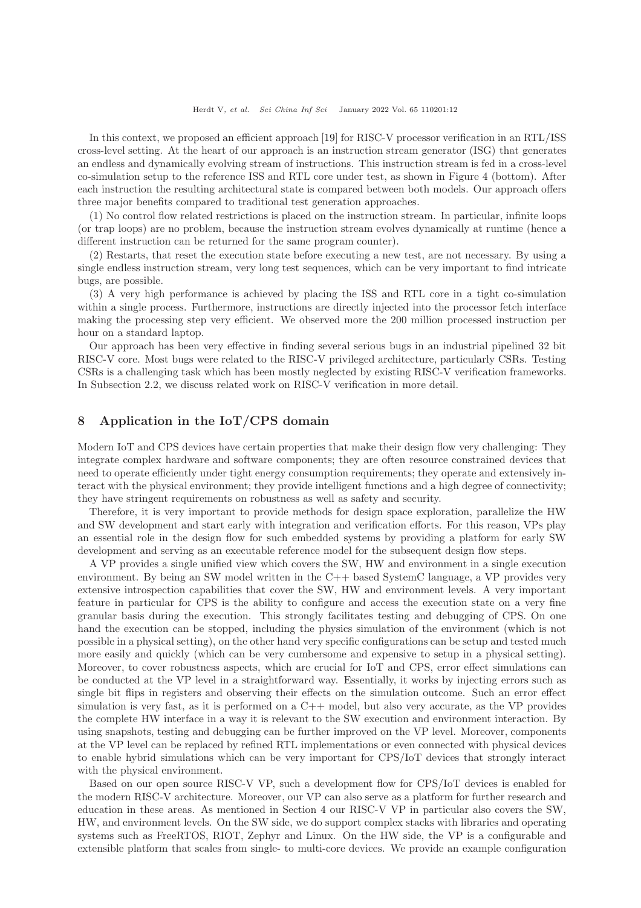In this context, we proposed an efficient approach [\[19\]](#page-14-12) for RISC-V processor verification in an RTL/ISS cross-level setting. At the heart of our approach is an instruction stream generator (ISG) that generates an endless and dynamically evolving stream of instructions. This instruction stream is fed in a cross-level co-simulation setup to the reference ISS and RTL core under test, as shown in Figure [4](#page-10-0) (bottom). After each instruction the resulting architectural state is compared between both models. Our approach offers three major benefits compared to traditional test generation approaches.

(1) No control flow related restrictions is placed on the instruction stream. In particular, infinite loops (or trap loops) are no problem, because the instruction stream evolves dynamically at runtime (hence a different instruction can be returned for the same program counter).

(2) Restarts, that reset the execution state before executing a new test, are not necessary. By using a single endless instruction stream, very long test sequences, which can be very important to find intricate bugs, are possible.

(3) A very high performance is achieved by placing the ISS and RTL core in a tight co-simulation within a single process. Furthermore, instructions are directly injected into the processor fetch interface making the processing step very efficient. We observed more the 200 million processed instruction per hour on a standard laptop.

Our approach has been very effective in finding several serious bugs in an industrial pipelined 32 bit RISC-V core. Most bugs were related to the RISC-V privileged architecture, particularly CSRs. Testing CSRs is a challenging task which has been mostly neglected by existing RISC-V verification frameworks. In Subsection 2.2, we discuss related work on RISC-V verification in more detail.

# <span id="page-11-0"></span>8 Application in the IoT/CPS domain

Modern IoT and CPS devices have certain properties that make their design flow very challenging: They integrate complex hardware and software components; they are often resource constrained devices that need to operate efficiently under tight energy consumption requirements; they operate and extensively interact with the physical environment; they provide intelligent functions and a high degree of connectivity; they have stringent requirements on robustness as well as safety and security.

Therefore, it is very important to provide methods for design space exploration, parallelize the HW and SW development and start early with integration and verification efforts. For this reason, VPs play an essential role in the design flow for such embedded systems by providing a platform for early SW development and serving as an executable reference model for the subsequent design flow steps.

A VP provides a single unified view which covers the SW, HW and environment in a single execution environment. By being an SW model written in the C++ based SystemC language, a VP provides very extensive introspection capabilities that cover the SW, HW and environment levels. A very important feature in particular for CPS is the ability to configure and access the execution state on a very fine granular basis during the execution. This strongly facilitates testing and debugging of CPS. On one hand the execution can be stopped, including the physics simulation of the environment (which is not possible in a physical setting), on the other hand very specific configurations can be setup and tested much more easily and quickly (which can be very cumbersome and expensive to setup in a physical setting). Moreover, to cover robustness aspects, which are crucial for IoT and CPS, error effect simulations can be conducted at the VP level in a straightforward way. Essentially, it works by injecting errors such as single bit flips in registers and observing their effects on the simulation outcome. Such an error effect simulation is very fast, as it is performed on a  $C++$  model, but also very accurate, as the VP provides the complete HW interface in a way it is relevant to the SW execution and environment interaction. By using snapshots, testing and debugging can be further improved on the VP level. Moreover, components at the VP level can be replaced by refined RTL implementations or even connected with physical devices to enable hybrid simulations which can be very important for CPS/IoT devices that strongly interact with the physical environment.

Based on our open source RISC-V VP, such a development flow for CPS/IoT devices is enabled for the modern RISC-V architecture. Moreover, our VP can also serve as a platform for further research and education in these areas. As mentioned in Section [4](#page-4-0) our RISC-V VP in particular also covers the SW, HW, and environment levels. On the SW side, we do support complex stacks with libraries and operating systems such as FreeRTOS, RIOT, Zephyr and Linux. On the HW side, the VP is a configurable and extensible platform that scales from single- to multi-core devices. We provide an example configuration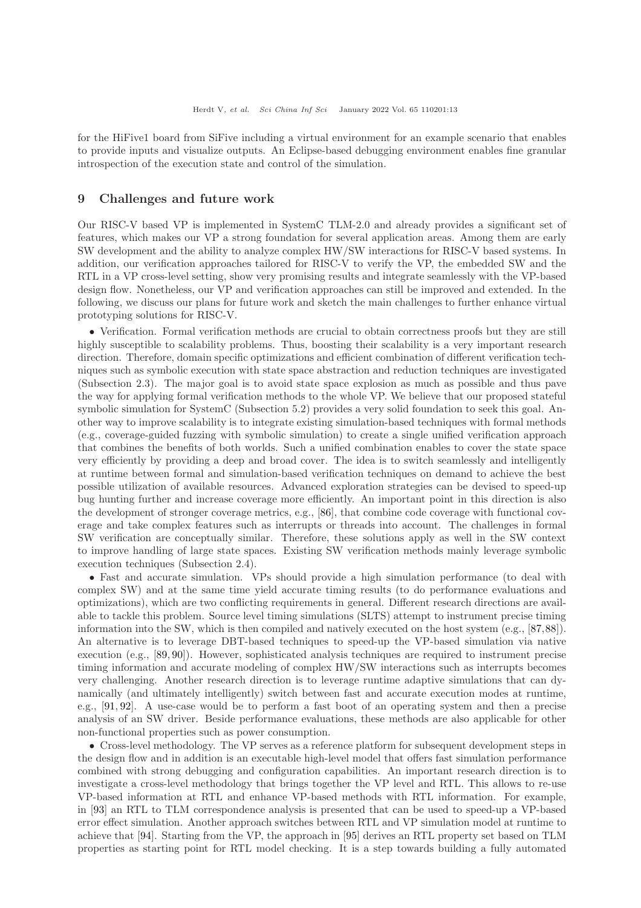for the HiFive1 board from SiFive including a virtual environment for an example scenario that enables to provide inputs and visualize outputs. An Eclipse-based debugging environment enables fine granular introspection of the execution state and control of the simulation.

## <span id="page-12-0"></span>9 Challenges and future work

Our RISC-V based VP is implemented in SystemC TLM-2.0 and already provides a significant set of features, which makes our VP a strong foundation for several application areas. Among them are early SW development and the ability to analyze complex HW/SW interactions for RISC-V based systems. In addition, our verification approaches tailored for RISC-V to verify the VP, the embedded SW and the RTL in a VP cross-level setting, show very promising results and integrate seamlessly with the VP-based design flow. Nonetheless, our VP and verification approaches can still be improved and extended. In the following, we discuss our plans for future work and sketch the main challenges to further enhance virtual prototyping solutions for RISC-V.

• Verification. Formal verification methods are crucial to obtain correctness proofs but they are still highly susceptible to scalability problems. Thus, boosting their scalability is a very important research direction. Therefore, domain specific optimizations and efficient combination of different verification techniques such as symbolic execution with state space abstraction and reduction techniques are investigated (Subsection 2.3). The major goal is to avoid state space explosion as much as possible and thus pave the way for applying formal verification methods to the whole VP. We believe that our proposed stateful symbolic simulation for SystemC (Subsection 5.2) provides a very solid foundation to seek this goal. Another way to improve scalability is to integrate existing simulation-based techniques with formal methods (e.g., coverage-guided fuzzing with symbolic simulation) to create a single unified verification approach that combines the benefits of both worlds. Such a unified combination enables to cover the state space very efficiently by providing a deep and broad cover. The idea is to switch seamlessly and intelligently at runtime between formal and simulation-based verification techniques on demand to achieve the best possible utilization of available resources. Advanced exploration strategies can be devised to speed-up bug hunting further and increase coverage more efficiently. An important point in this direction is also the development of stronger coverage metrics, e.g., [\[86\]](#page-16-13), that combine code coverage with functional coverage and take complex features such as interrupts or threads into account. The challenges in formal SW verification are conceptually similar. Therefore, these solutions apply as well in the SW context to improve handling of large state spaces. Existing SW verification methods mainly leverage symbolic execution techniques (Subsection 2.4).

• Fast and accurate simulation. VPs should provide a high simulation performance (to deal with complex SW) and at the same time yield accurate timing results (to do performance evaluations and optimizations), which are two conflicting requirements in general. Different research directions are available to tackle this problem. Source level timing simulations (SLTS) attempt to instrument precise timing information into the SW, which is then compiled and natively executed on the host system (e.g., [\[87,](#page-16-14)[88\]](#page-16-15)). An alternative is to leverage DBT-based techniques to speed-up the VP-based simulation via native execution (e.g., [\[89,](#page-16-16) [90\]](#page-16-17)). However, sophisticated analysis techniques are required to instrument precise timing information and accurate modeling of complex HW/SW interactions such as interrupts becomes very challenging. Another research direction is to leverage runtime adaptive simulations that can dynamically (and ultimately intelligently) switch between fast and accurate execution modes at runtime, e.g., [\[91,](#page-16-18) [92\]](#page-16-19). A use-case would be to perform a fast boot of an operating system and then a precise analysis of an SW driver. Beside performance evaluations, these methods are also applicable for other non-functional properties such as power consumption.

• Cross-level methodology. The VP serves as a reference platform for subsequent development steps in the design flow and in addition is an executable high-level model that offers fast simulation performance combined with strong debugging and configuration capabilities. An important research direction is to investigate a cross-level methodology that brings together the VP level and RTL. This allows to re-use VP-based information at RTL and enhance VP-based methods with RTL information. For example, in [\[93\]](#page-16-20) an RTL to TLM correspondence analysis is presented that can be used to speed-up a VP-based error effect simulation. Another approach switches between RTL and VP simulation model at runtime to achieve that [\[94\]](#page-16-21). Starting from the VP, the approach in [\[95\]](#page-16-22) derives an RTL property set based on TLM properties as starting point for RTL model checking. It is a step towards building a fully automated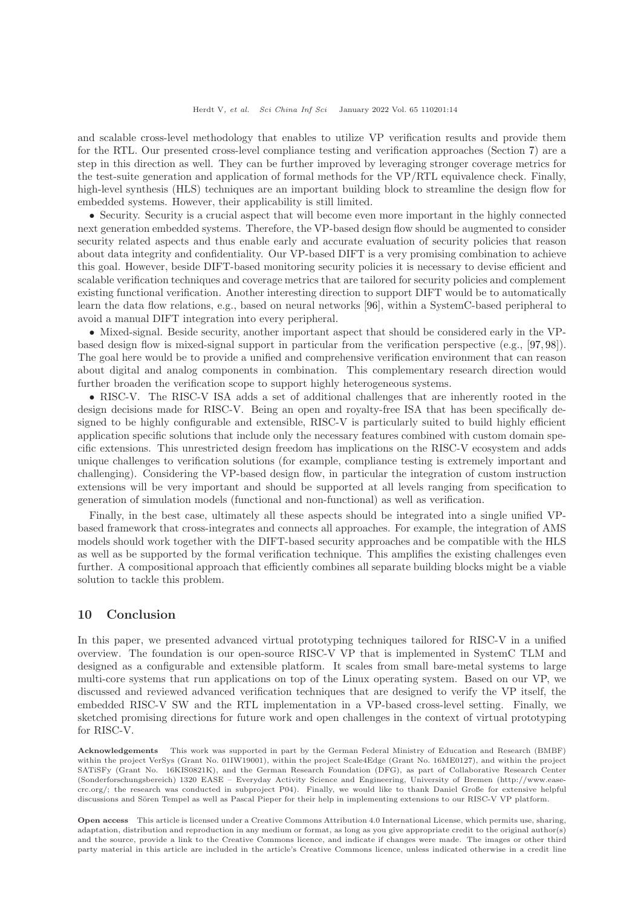and scalable cross-level methodology that enables to utilize VP verification results and provide them for the RTL. Our presented cross-level compliance testing and verification approaches (Section [7\)](#page-9-0) are a step in this direction as well. They can be further improved by leveraging stronger coverage metrics for the test-suite generation and application of formal methods for the VP/RTL equivalence check. Finally, high-level synthesis (HLS) techniques are an important building block to streamline the design flow for embedded systems. However, their applicability is still limited.

• Security. Security is a crucial aspect that will become even more important in the highly connected next generation embedded systems. Therefore, the VP-based design flow should be augmented to consider security related aspects and thus enable early and accurate evaluation of security policies that reason about data integrity and confidentiality. Our VP-based DIFT is a very promising combination to achieve this goal. However, beside DIFT-based monitoring security policies it is necessary to devise efficient and scalable verification techniques and coverage metrics that are tailored for security policies and complement existing functional verification. Another interesting direction to support DIFT would be to automatically learn the data flow relations, e.g., based on neural networks [\[96\]](#page-16-23), within a SystemC-based peripheral to avoid a manual DIFT integration into every peripheral.

• Mixed-signal. Beside security, another important aspect that should be considered early in the VPbased design flow is mixed-signal support in particular from the verification perspective (e.g., [\[97,](#page-16-24) [98\]](#page-16-25)). The goal here would be to provide a unified and comprehensive verification environment that can reason about digital and analog components in combination. This complementary research direction would further broaden the verification scope to support highly heterogeneous systems.

• RISC-V. The RISC-V ISA adds a set of additional challenges that are inherently rooted in the design decisions made for RISC-V. Being an open and royalty-free ISA that has been specifically designed to be highly configurable and extensible, RISC-V is particularly suited to build highly efficient application specific solutions that include only the necessary features combined with custom domain specific extensions. This unrestricted design freedom has implications on the RISC-V ecosystem and adds unique challenges to verification solutions (for example, compliance testing is extremely important and challenging). Considering the VP-based design flow, in particular the integration of custom instruction extensions will be very important and should be supported at all levels ranging from specification to generation of simulation models (functional and non-functional) as well as verification.

Finally, in the best case, ultimately all these aspects should be integrated into a single unified VPbased framework that cross-integrates and connects all approaches. For example, the integration of AMS models should work together with the DIFT-based security approaches and be compatible with the HLS as well as be supported by the formal verification technique. This amplifies the existing challenges even further. A compositional approach that efficiently combines all separate building blocks might be a viable solution to tackle this problem.

## 10 Conclusion

In this paper, we presented advanced virtual prototyping techniques tailored for RISC-V in a unified overview. The foundation is our open-source RISC-V VP that is implemented in SystemC TLM and designed as a configurable and extensible platform. It scales from small bare-metal systems to large multi-core systems that run applications on top of the Linux operating system. Based on our VP, we discussed and reviewed advanced verification techniques that are designed to verify the VP itself, the embedded RISC-V SW and the RTL implementation in a VP-based cross-level setting. Finally, we sketched promising directions for future work and open challenges in the context of virtual prototyping for RISC-V.

Acknowledgements This work was supported in part by the German Federal Ministry of Education and Research (BMBF) within the project VerSys (Grant No. 01IW19001), within the project Scale4Edge (Grant No. 16ME0127), and within the project SATiSFy (Grant No. 16KIS0821K), and the German Research Foundation (DFG), as part of Collaborative Research Center (Sonderforschungsbereich) 1320 EASE – Everyday Activity Science and Engineering, University of Bremen (http://www.easecrc.org/; the research was conducted in subproject P04). Finally, we would like to thank Daniel Große for extensive helpful discussions and Sören Tempel as well as Pascal Pieper for their help in implementing extensions to our RISC-V VP platform.

Open access This article is licensed under a Creative Commons Attribution 4.0 International License, which permits use, sharing, adaptation, distribution and reproduction in any medium or format, as long as you give appropriate credit to the original author(s) and the source, provide a link to the Creative Commons licence, and indicate if changes were made. The images or other third party material in this article are included in the article's Creative Commons licence, unless indicated otherwise in a credit line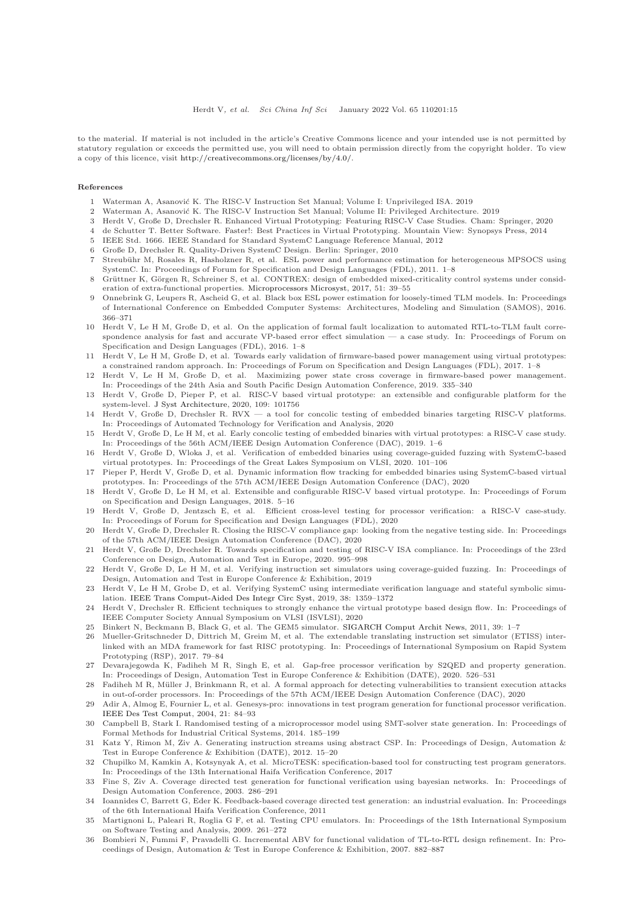to the material. If material is not included in the article's Creative Commons licence and your intended use is not permitted by statutory regulation or exceeds the permitted use, you will need to obtain permission directly from the copyright holder. To view a copy of this licence, visit [http://creativecommons.org/licenses/by/4.0/.](http://creativecommons.org/licenses/by/4.0/)

#### <span id="page-14-0"></span>References

- <span id="page-14-1"></span>1 Waterman A, Asanović K. The RISC-V Instruction Set Manual; Volume I: Unprivileged ISA. 2019
- <span id="page-14-2"></span>Waterman A, Asanović K. The RISC-V Instruction Set Manual; Volume II: Privileged Architecture. 2019
- <span id="page-14-3"></span>3 Herdt V, Große D, Drechsler R. Enhanced Virtual Prototyping: Featuring RISC-V Case Studies. Cham: Springer, 2020
- <span id="page-14-4"></span>4 de Schutter T. Better Software. Faster!: Best Practices in Virtual Prototyping. Mountain View: Synopsys Press, 2014
- <span id="page-14-5"></span>5 IEEE Std. 1666. IEEE Standard for Standard SystemC Language Reference Manual, 2012
- <span id="page-14-6"></span>6 Große D, Drechsler R. Quality-Driven SystemC Design. Berlin: Springer, 2010
- Streubühr M, Rosales R, Hasholzner R, et al. ESL power and performance estimation for heterogeneous MPSOCS using SystemC. In: Proceedings of Forum for Specification and Design Languages (FDL), 2011. 1–8
- 8 Grüttner K, Görgen R, Schreiner S, et al. CONTREX: design of embedded mixed-criticality control systems under consideration of extra-functional properties. [Microprocessors Microsyst,](https://doi.org/10.1016/j.micpro.2017.03.012) 2017, 51: 39–55
- 9 Onnebrink G, Leupers R, Ascheid G, et al. Black box ESL power estimation for loosely-timed TLM models. In: Proceedings of International Conference on Embedded Computer Systems: Architectures, Modeling and Simulation (SAMOS), 2016. 366–371
- 10 Herdt V, Le H M, Große D, et al. On the application of formal fault localization to automated RTL-to-TLM fault correspondence analysis for fast and accurate VP-based error effect simulation — a case study. In: Proceedings of Forum on Specification and Design Languages (FDL), 2016. 1–8
- 11 Herdt V, Le H M, Große D, et al. Towards early validation of firmware-based power management using virtual prototypes: a constrained random approach. In: Proceedings of Forum on Specification and Design Languages (FDL), 2017. 1–8
- <span id="page-14-7"></span>12 Herdt V, Le H M, Große D, et al. Maximizing power state cross coverage in firmware-based power management. In: Proceedings of the 24th Asia and South Pacific Design Automation Conference, 2019. 335–340
- <span id="page-14-8"></span>13 Herdt V, Große D, Pieper P, et al. RISC-V based virtual prototype: an extensible and configurable platform for the system-level. [J Syst Architecture,](https://doi.org/10.1016/j.sysarc.2020.101756) 2020, 109: 101756
- <span id="page-14-23"></span>14 Herdt V, Große D, Drechsler R. RVX — a tool for concolic testing of embedded binaries targeting RISC-V platforms. In: Proceedings of Automated Technology for Verification and Analysis, 2020
- <span id="page-14-24"></span>15 Herdt V, Große D, Le H M, et al. Early concolic testing of embedded binaries with virtual prototypes: a RISC-V case study. In: Proceedings of the 56th ACM/IEEE Design Automation Conference (DAC), 2019. 1–6
- <span id="page-14-25"></span>16 Herdt V, Große D, Wloka J, et al. Verification of embedded binaries using coverage-guided fuzzing with SystemC-based virtual prototypes. In: Proceedings of the Great Lakes Symposium on VLSI, 2020. 101–106
- <span id="page-14-26"></span>17 Pieper P, Herdt V, Große D, et al. Dynamic information flow tracking for embedded binaries using SystemC-based virtual prototypes. In: Proceedings of the 57th ACM/IEEE Design Automation Conference (DAC), 2020
- 18 Herdt V, Große D, Le H M, et al. Extensible and configurable RISC-V based virtual prototype. In: Proceedings of Forum on Specification and Design Languages, 2018. 5–16
- <span id="page-14-12"></span>19 Herdt V, Große D, Jentzsch E, et al. Efficient cross-level testing for processor verification: a RISC-V case-study. In: Proceedings of Forum for Specification and Design Languages (FDL), 2020
- <span id="page-14-28"></span>20 Herdt V, Große D, Drechsler R. Closing the RISC-V compliance gap: looking from the negative testing side. In: Proceedings of the 57th ACM/IEEE Design Automation Conference (DAC), 2020
- <span id="page-14-27"></span>21 Herdt V, Große D, Drechsler R. Towards specification and testing of RISC-V ISA compliance. In: Proceedings of the 23rd Conference on Design, Automation and Test in Europe, 2020. 995–998
- <span id="page-14-13"></span>22 Herdt V, Große D, Le H M, et al. Verifying instruction set simulators using coverage-guided fuzzing. In: Proceedings of Design, Automation and Test in Europe Conference & Exhibition, 2019
- <span id="page-14-22"></span>23 Herdt V, Le H M, Grobe D, et al. Verifying SystemC using intermediate verification language and stateful symbolic simulation. [IEEE Trans Comput-Aided Des Integr Circ Syst,](https://doi.org/10.1109/TCAD.2018.2846638) 2019, 38: 1359–1372
- <span id="page-14-9"></span>24 Herdt V, Drechsler R. Efficient techniques to strongly enhance the virtual prototype based design flow. In: Proceedings of IEEE Computer Society Annual Symposium on VLSI (ISVLSI), 2020
- <span id="page-14-11"></span><span id="page-14-10"></span>25 Binkert N, Beckmann B, Black G, et al. The GEM5 simulator. [SIGARCH Comput Archit News,](https://doi.org/10.1145/2024716.2024718) 2011, 39: 1–7
- 26 Mueller-Gritschneder D, Dittrich M, Greim M, et al. The extendable translating instruction set simulator (ETISS) interlinked with an MDA framework for fast RISC prototyping. In: Proceedings of International Symposium on Rapid System Prototyping (RSP), 2017. 79–84
- <span id="page-14-14"></span>27 Devarajegowda K, Fadiheh M R, Singh E, et al. Gap-free processor verification by S2QED and property generation. In: Proceedings of Design, Automation Test in Europe Conference & Exhibition (DATE), 2020. 526–531
- <span id="page-14-15"></span>28 Fadiheh M R, Müller J, Brinkmann R, et al. A formal approach for detecting vulnerabilities to transient execution attacks in out-of-order processors. In: Proceedings of the 57th ACM/IEEE Design Automation Conference (DAC), 2020
- <span id="page-14-16"></span>29 Adir A, Almog E, Fournier L, et al. Genesys-pro: innovations in test program generation for functional processor verification. [IEEE Des Test Comput,](https://doi.org/10.1109/MDT.2004.1277900) 2004, 21: 84–93
- 30 Campbell B, Stark I. Randomised testing of a microprocessor model using SMT-solver state generation. In: Proceedings of Formal Methods for Industrial Critical Systems, 2014. 185–199
- 31 Katz Y, Rimon M, Ziv A. Generating instruction streams using abstract CSP. In: Proceedings of Design, Automation & Test in Europe Conference & Exhibition (DATE), 2012. 15–20
- <span id="page-14-17"></span>32 Chupilko M, Kamkin A, Kotsynyak A, et al. MicroTESK: specification-based tool for constructing test program generators. In: Proceedings of the 13th International Haifa Verification Conference, 2017
- <span id="page-14-18"></span>33 Fine S, Ziv A. Coverage directed test generation for functional verification using bayesian networks. In: Proceedings of Design Automation Conference, 2003. 286–291
- <span id="page-14-19"></span>34 Ioannides C, Barrett G, Eder K. Feedback-based coverage directed test generation: an industrial evaluation. In: Proceedings of the 6th International Haifa Verification Conference, 2011
- <span id="page-14-20"></span>35 Martignoni L, Paleari R, Roglia G F, et al. Testing CPU emulators. In: Proceedings of the 18th International Symposium on Software Testing and Analysis, 2009. 261–272
- <span id="page-14-21"></span>36 Bombieri N, Fummi F, Pravadelli G. Incremental ABV for functional validation of TL-to-RTL design refinement. In: Proceedings of Design, Automation & Test in Europe Conference & Exhibition, 2007. 882–887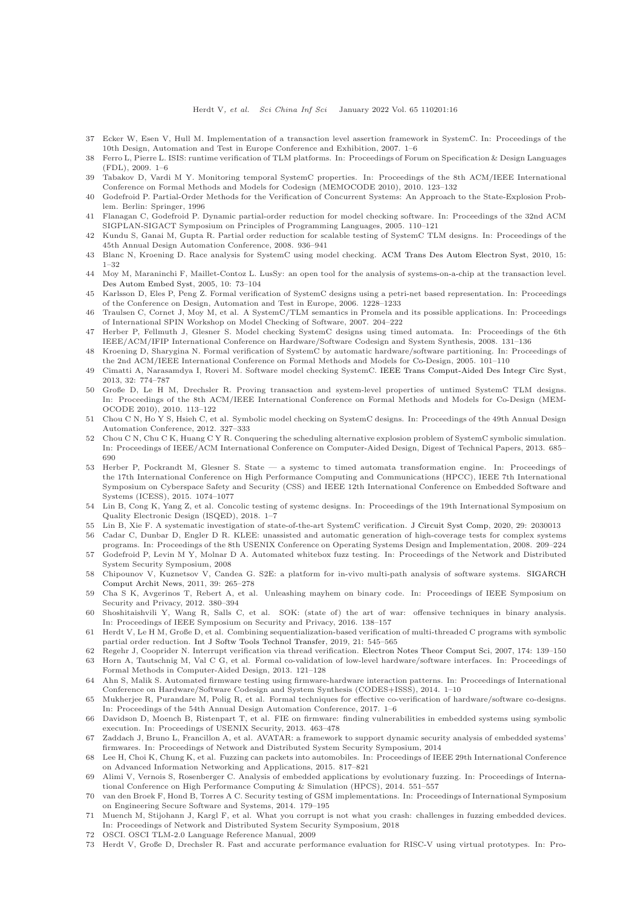- 37 Ecker W, Esen V, Hull M. Implementation of a transaction level assertion framework in SystemC. In: Proceedings of the 10th Design, Automation and Test in Europe Conference and Exhibition, 2007. 1–6
- 38 Ferro L, Pierre L. ISIS: runtime verification of TLM platforms. In: Proceedings of Forum on Specification & Design Languages (FDL), 2009. 1–6
- <span id="page-15-0"></span>39 Tabakov D, Vardi M Y. Monitoring temporal SystemC properties. In: Proceedings of the 8th ACM/IEEE International Conference on Formal Methods and Models for Codesign (MEMOCODE 2010), 2010. 123–132
- <span id="page-15-1"></span>40 Godefroid P. Partial-Order Methods for the Verification of Concurrent Systems: An Approach to the State-Explosion Problem. Berlin: Springer, 1996
- <span id="page-15-2"></span>41 Flanagan C, Godefroid P. Dynamic partial-order reduction for model checking software. In: Proceedings of the 32nd ACM SIGPLAN-SIGACT Symposium on Principles of Programming Languages, 2005. 110–121
- <span id="page-15-3"></span>42 Kundu S, Ganai M, Gupta R. Partial order reduction for scalable testing of SystemC TLM designs. In: Proceedings of the 45th Annual Design Automation Conference, 2008. 936–941
- <span id="page-15-5"></span><span id="page-15-4"></span>43 Blanc N, Kroening D. Race analysis for SystemC using model checking. [ACM Trans Des Autom Electron Syst,](https://doi.org/10.1145/1754405.1754406) 2010, 15: 1–32
- 44 Moy M, Maraninchi F, Maillet-Contoz L. LusSy: an open tool for the analysis of systems-on-a-chip at the transaction level. [Des Autom Embed Syst,](https://doi.org/10.1007/s10617-006-9044-6) 2005, 10: 73–104
- 45 Karlsson D, Eles P, Peng Z. Formal verification of SystemC designs using a petri-net based representation. In: Proceedings of the Conference on Design, Automation and Test in Europe, 2006. 1228–1233
- 46 Traulsen C, Cornet J, Moy M, et al. A SystemC/TLM semantics in Promela and its possible applications. In: Proceedings of International SPIN Workshop on Model Checking of Software, 2007. 204–222
- <span id="page-15-6"></span>47 Herber P, Fellmuth J, Glesner S. Model checking SystemC designs using timed automata. In: Proceedings of the 6th IEEE/ACM/IFIP International Conference on Hardware/Software Codesign and System Synthesis, 2008. 131–136
- <span id="page-15-7"></span>48 Kroening D, Sharygina N. Formal verification of SystemC by automatic hardware/software partitioning. In: Proceedings of the 2nd ACM/IEEE International Conference on Formal Methods and Models for Co-Design, 2005. 101–110
- <span id="page-15-8"></span>49 Cimatti A, Narasamdya I, Roveri M. Software model checking SystemC. [IEEE Trans Comput-Aided Des Integr Circ Syst,](https://doi.org/10.1109/TCAD.2012.2232351) 2013, 32: 774–787
- <span id="page-15-9"></span>50 Große D, Le H M, Drechsler R. Proving transaction and system-level properties of untimed SystemC TLM designs. In: Proceedings of the 8th ACM/IEEE International Conference on Formal Methods and Models for Co-Design (MEM-OCODE 2010), 2010. 113–122
- <span id="page-15-10"></span>51 Chou C N, Ho Y S, Hsieh C, et al. Symbolic model checking on SystemC designs. In: Proceedings of the 49th Annual Design Automation Conference, 2012. 327–333
- <span id="page-15-11"></span>52 Chou C N, Chu C K, Huang C Y R. Conquering the scheduling alternative explosion problem of SystemC symbolic simulation. In: Proceedings of IEEE/ACM International Conference on Computer-Aided Design, Digest of Technical Papers, 2013. 685– 690
- <span id="page-15-12"></span>53 Herber P, Pockrandt M, Glesner S. State — a systemc to timed automata transformation engine. In: Proceedings of the 17th International Conference on High Performance Computing and Communications (HPCC), IEEE 7th International Symposium on Cyberspace Safety and Security (CSS) and IEEE 12th International Conference on Embedded Software and Systems (ICESS), 2015. 1074–1077
- <span id="page-15-13"></span>54 Lin B, Cong K, Yang Z, et al. Concolic testing of systemc designs. In: Proceedings of the 19th International Symposium on Quality Electronic Design (ISQED), 2018. 1–7
- <span id="page-15-15"></span><span id="page-15-14"></span>55 Lin B, Xie F. A systematic investigation of state-of-the-art SystemC verification. [J Circuit Syst Comp,](https://doi.org/10.1142/S0218126620300135) 2020, 29: 2030013 56 Cadar C, Dunbar D, Engler D R. KLEE: unassisted and automatic generation of high-coverage tests for complex systems
- <span id="page-15-16"></span>programs. In: Proceedings of the 8th USENIX Conference on Operating Systems Design and Implementation, 2008. 209–224 57 Godefroid P, Levin M Y, Molnar D A. Automated whitebox fuzz testing. In: Proceedings of the Network and Distributed
- <span id="page-15-17"></span>System Security Symposium, 2008 58 Chipounov V, Kuznetsov V, Candea G. S2E: a platform for in-vivo multi-path analysis of software systems. SIGARCH
- <span id="page-15-18"></span>Comput Archit News, 2011, 39: 265–278
- 59 Cha S K, Avgerinos T, Rebert A, et al. Unleashing mayhem on binary code. In: Proceedings of IEEE Symposium on Security and Privacy, 2012. 380–394
- <span id="page-15-19"></span>60 Shoshitaishvili Y, Wang R, Salls C, et al. SOK: (state of) the art of war: offensive techniques in binary analysis. In: Proceedings of IEEE Symposium on Security and Privacy, 2016. 138–157
- <span id="page-15-20"></span>61 Herdt V, Le H M, Große D, et al. Combining sequentialization-based verification of multi-threaded C programs with symbolic partial order reduction. [Int J Softw Tools Technol Transfer,](https://doi.org/10.1007/s10009-019-00507-5) 2019, 21: 545–565
- <span id="page-15-22"></span><span id="page-15-21"></span>62 Regehr J, Cooprider N. Interrupt verification via thread verification. [Electron Notes Theor Comput Sci,](https://doi.org/10.1016/j.entcs.2007.04.002) 2007, 174: 139–150 63 Horn A, Tautschnig M, Val C G, et al. Formal co-validation of low-level hardware/software interfaces. In: Proceedings of Formal Methods in Computer-Aided Design, 2013. 121–128
- <span id="page-15-23"></span>64 Ahn S, Malik S. Automated firmware testing using firmware-hardware interaction patterns. In: Proceedings of International Conference on Hardware/Software Codesign and System Synthesis (CODES+ISSS), 2014. 1–10
- <span id="page-15-24"></span>65 Mukherjee R, Purandare M, Polig R, et al. Formal techniques for effective co-verification of hardware/software co-designs. In: Proceedings of the 54th Annual Design Automation Conference, 2017. 1–6
- <span id="page-15-25"></span>66 Davidson D, Moench B, Ristenpart T, et al. FIE on firmware: finding vulnerabilities in embedded systems using symbolic execution. In: Proceedings of USENIX Security, 2013. 463–478
- <span id="page-15-26"></span>67 Zaddach J, Bruno L, Francillon A, et al. AVATAR: a framework to support dynamic security analysis of embedded systems' firmwares. In: Proceedings of Network and Distributed System Security Symposium, 2014
- <span id="page-15-27"></span>68 Lee H, Choi K, Chung K, et al. Fuzzing can packets into automobiles. In: Proceedings of IEEE 29th International Conference on Advanced Information Networking and Applications, 2015. 817–821
- 69 Alimi V, Vernois S, Rosenberger C. Analysis of embedded applications by evolutionary fuzzing. In: Proceedings of International Conference on High Performance Computing & Simulation (HPCS), 2014. 551–557
- 70 van den Broek F, Hond B, Torres A C. Security testing of GSM implementations. In: Proceedings of International Symposium on Engineering Secure Software and Systems, 2014. 179–195
- <span id="page-15-28"></span>71 Muench M, Stijohann J, Kargl F, et al. What you corrupt is not what you crash: challenges in fuzzing embedded devices. In: Proceedings of Network and Distributed System Security Symposium, 2018
- <span id="page-15-30"></span><span id="page-15-29"></span>72 OSCI. OSCI TLM-2.0 Language Reference Manual, 2009
- 73 Herdt V, Große D, Drechsler R. Fast and accurate performance evaluation for RISC-V using virtual prototypes. In: Pro-